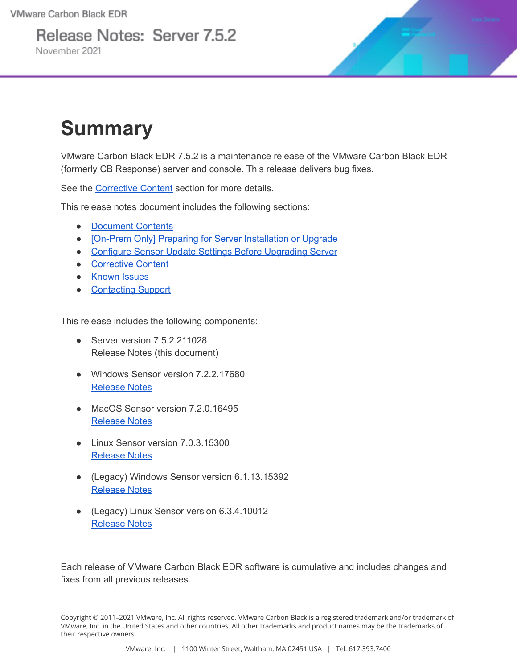Release Notes: Server 7.5.2 November 2021



## **Summary**

VMware Carbon Black EDR 7.5.2 is a maintenance release of the VMware Carbon Black EDR (formerly CB Response) server and console. This release delivers bug fixes.

See the [Corrective](#page-5-0) Content section for more details.

This release notes document includes the following sections:

- [Document](#page-1-0) Contents
- [On-Prem Only] Preparing for Server [Installation](#page-2-0) or Upgrade
- Configure Sensor Update Settings Before [Upgrading](#page-5-1) Server
- [Corrective](#page-5-0) Content
- [Known](#page-6-0) Issues
- [Contacting](#page-9-0) Support

This release includes the following components:

- Server version 7.5.2.211028 Release Notes (this document)
- Windows Sensor version 7.2.2.17680 [Release](https://docs.vmware.com/en/VMware-Carbon-Black-EDR/7.2.2/VMware%20Carbon%20Black%20EDR%20Windows%20Sensor%207.2.2%20Release%20Notes.pdf) Notes
- MacOS Sensor version 7.2.0.16495 [Release](https://docs.vmware.com/en/VMware-Carbon-Black-EDR/7.2.0/VMware%20Carbon%20Black%20EDR%20macOS%20Sensor%207.2.0%20Release%20Notes.pdf) Notes
- Linux Sensor version 7.0.3.15300 [Release](https://docs.vmware.com/en/VMware-Carbon-Black-EDR/7.0.3/VMware%20Carbon%20Black%20EDR%20Linux%20Sensor%207.0.3%20Release%20Notes.pdf) Notes
- (Legacy) Windows Sensor version 6.1.13.15392 [Release](https://docs.vmware.com/en/VMware-Carbon-Black-EDR/6.1.13/VMware%20Carbon%20Black%20EDR%20Windows%20Sensor%206.1.13%20Release%20Notes.pdf) Notes
- (Legacy) Linux Sensor version 6.3.4.10012 [Release](https://community.carbonblack.com/t5/Documentation-Downloads/VMware-Carbon-Black-EDR-Linux-Sensor-v6-3-4-Release-Notes/ta-p/95657) Notes

Each release of VMware Carbon Black EDR software is cumulative and includes changes and fixes from all previous releases.

Copyright © 2011–2021 VMware, Inc. All rights reserved. VMware Carbon Black is a registered trademark and/or trademark of VMware, Inc. in the United States and other countries. All other trademarks and product names may be the trademarks of their respective owners.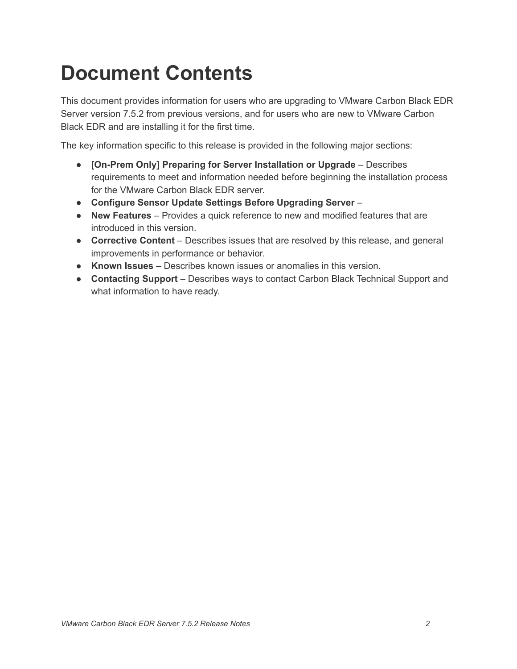## <span id="page-1-0"></span>**Document Contents**

This document provides information for users who are upgrading to VMware Carbon Black EDR Server version 7.5.2 from previous versions, and for users who are new to VMware Carbon Black EDR and are installing it for the first time.

The key information specific to this release is provided in the following major sections:

- **[On-Prem Only] Preparing for Server Installation or Upgrade** Describes requirements to meet and information needed before beginning the installation process for the VMware Carbon Black EDR server.
- **Configure Sensor Update Settings Before Upgrading Server** –
- **New Features** Provides a quick reference to new and modified features that are introduced in this version.
- **Corrective Content** Describes issues that are resolved by this release, and general improvements in performance or behavior.
- **Known Issues** Describes known issues or anomalies in this version.
- **Contacting Support** Describes ways to contact Carbon Black Technical Support and what information to have ready.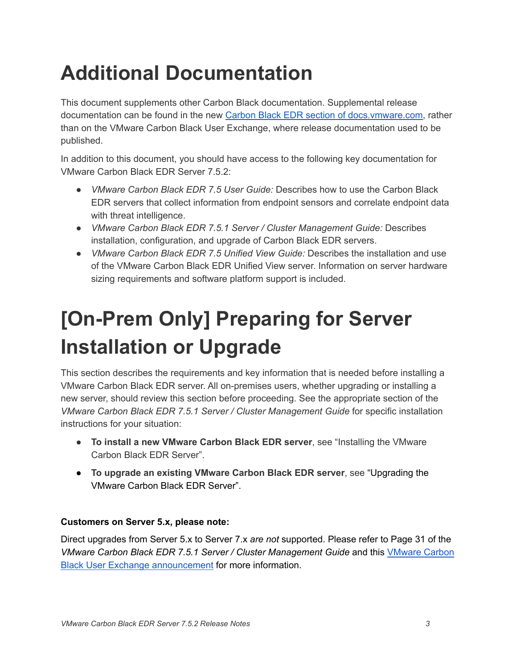# **Additional Documentation**

This document supplements other Carbon Black documentation. Supplemental release documentation can be found in the new Carbon Black EDR section of [docs.vmware.com,](https://docs.vmware.com/en/VMware-Carbon-Black-EDR/index.html) rather than on the VMware Carbon Black User Exchange, where release documentation used to be published.

In addition to this document, you should have access to the following key documentation for VMware Carbon Black EDR Server 7.5.2:

- *VMware Carbon Black EDR 7.5 User Guide:* Describes how to use the Carbon Black EDR servers that collect information from endpoint sensors and correlate endpoint data with threat intelligence.
- *VMware Carbon Black EDR 7.5.1 Server / Cluster Management Guide:* Describes installation, configuration, and upgrade of Carbon Black EDR servers.
- *VMware Carbon Black EDR 7.5 Unified View Guide:* Describes the installation and use of the VMware Carbon Black EDR Unified View server. Information on server hardware sizing requirements and software platform support is included.

# <span id="page-2-0"></span>**[On-Prem Only] Preparing for Server Installation or Upgrade**

This section describes the requirements and key information that is needed before installing a VMware Carbon Black EDR server. All on-premises users, whether upgrading or installing a new server, should review this section before proceeding. See the appropriate section of the *VMware Carbon Black EDR 7.5.1 Server / Cluster Management Guide* for specific installation instructions for your situation:

- **To install a new VMware Carbon Black EDR server**, see "Installing the VMware Carbon Black EDR Server".
- **To upgrade an existing VMware Carbon Black EDR server**, see "Upgrading the VMware Carbon Black EDR Server".

#### **Customers on Server 5.x, please note:**

Direct upgrades from Server 5.x to Server 7.x *are not* supported. Please refer to Page 31 of the *VMware Carbon Black EDR 7.5.1 Server / Cluster Management Guide* and this [VMware](https://community.carbonblack.com/t5/Endpoint-Detection-and-Response/VMware-Carbon-Black-EDR-For-Customers-on-EDR-Server-5-x-Upgrade/m-p/99518#M4858) Carbon Black User Exchange [announcement](https://community.carbonblack.com/t5/Endpoint-Detection-and-Response/VMware-Carbon-Black-EDR-For-Customers-on-EDR-Server-5-x-Upgrade/m-p/99518#M4858) for more information.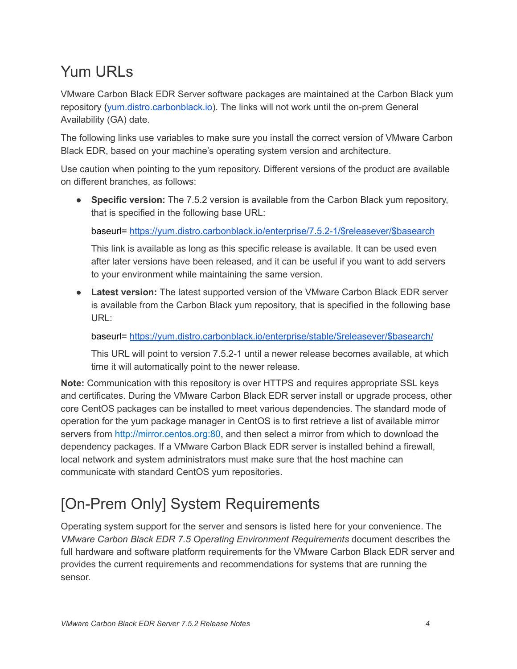### Yum URLs

VMware Carbon Black EDR Server software packages are maintained at the Carbon Black yum repository ([yum.distro.carbonblack.io\)](http://yum.distro.carbonblack.io/). The links will not work until the on-prem General Availability (GA) date.

The following links use variables to make sure you install the correct version of VMware Carbon Black EDR, based on your machine's operating system version and architecture.

Use caution when pointing to the yum repository. Different versions of the product are available on different branches, as follows:

● **Specific version:** The 7.5.2 version is available from the Carbon Black yum repository, that is specified in the following base URL:

baseurl= [https://yum.distro.carbonblack.io/enterprise/7.5.2-1/\\$releasever/\\$basearch](https://yum.distro.carbonblack.io/enterprise/7.5.2-1/$releasever/$basearch)

This link is available as long as this specific release is available. It can be used even after later versions have been released, and it can be useful if you want to add servers to your environment while maintaining the same version.

● **Latest version:** The latest supported version of the VMware Carbon Black EDR server is available from the Carbon Black yum repository, that is specified in the following base URL:

baseurl= [https://yum.distro.carbonblack.io/enterprise/stable/\\$releasever/\\$basearch/](https://yum.distro.carbonblack.io/enterprise/stable/$releasever/$basearch/)

This URL will point to version 7.5.2-1 until a newer release becomes available, at which time it will automatically point to the newer release.

**Note:** Communication with this repository is over HTTPS and requires appropriate SSL keys and certificates. During the VMware Carbon Black EDR server install or upgrade process, other core CentOS packages can be installed to meet various dependencies. The standard mode of operation for the yum package manager in CentOS is to first retrieve a list of available mirror servers from [http://mirror.centos.org:80](http://mirror.centos.org/), and then select a mirror from which to download the dependency packages. If a VMware Carbon Black EDR server is installed behind a firewall, local network and system administrators must make sure that the host machine can communicate with standard CentOS yum repositories.

### [On-Prem Only] System Requirements

Operating system support for the server and sensors is listed here for your convenience. The *VMware Carbon Black EDR 7.5 Operating Environment Requirements* document describes the full hardware and software platform requirements for the VMware Carbon Black EDR server and provides the current requirements and recommendations for systems that are running the sensor.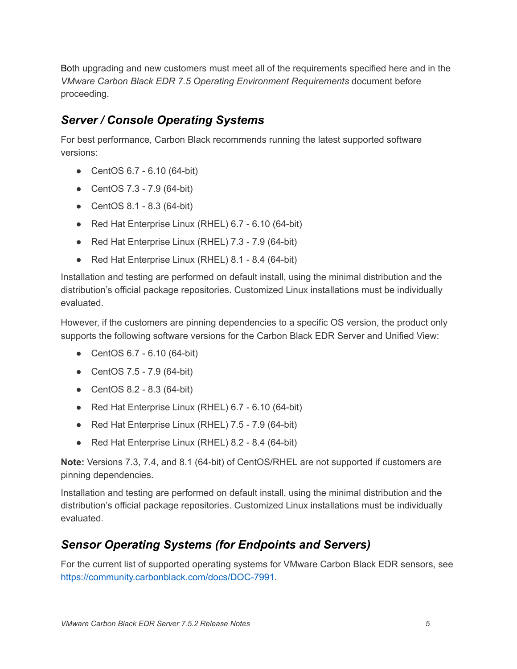Both upgrading and new customers must meet all of the requirements specified here and in the *VMware Carbon Black EDR 7.5 Operating Environment Requirements* document before proceeding.

#### *Server / Console Operating Systems*

For best performance, Carbon Black recommends running the latest supported software versions:

- CentOS 6.7 6.10 (64-bit)
- CentOS 7.3 7.9 (64-bit)
- CentOS 8.1 8.3 (64-bit)
- Red Hat Enterprise Linux (RHEL) 6.7 6.10 (64-bit)
- Red Hat Enterprise Linux (RHEL) 7.3 7.9 (64-bit)
- Red Hat Enterprise Linux (RHEL) 8.1 8.4 (64-bit)

Installation and testing are performed on default install, using the minimal distribution and the distribution's official package repositories. Customized Linux installations must be individually evaluated.

However, if the customers are pinning dependencies to a specific OS version, the product only supports the following software versions for the Carbon Black EDR Server and Unified View:

- CentOS 6.7 6.10 (64-bit)
- CentOS 7.5 7.9 (64-bit)
- CentOS 8.2 8.3 (64-bit)
- Red Hat Enterprise Linux (RHEL) 6.7 6.10 (64-bit)
- Red Hat Enterprise Linux (RHEL) 7.5 7.9 (64-bit)
- Red Hat Enterprise Linux (RHEL) 8.2 8.4 (64-bit)

**Note:** Versions 7.3, 7.4, and 8.1 (64-bit) of CentOS/RHEL are not supported if customers are pinning dependencies.

Installation and testing are performed on default install, using the minimal distribution and the distribution's official package repositories. Customized Linux installations must be individually evaluated.

#### *Sensor Operating Systems (for Endpoints and Servers)*

For the current list of supported operating systems for VMware Carbon Black EDR sensors, see <https://community.carbonblack.com/docs/DOC-7991>.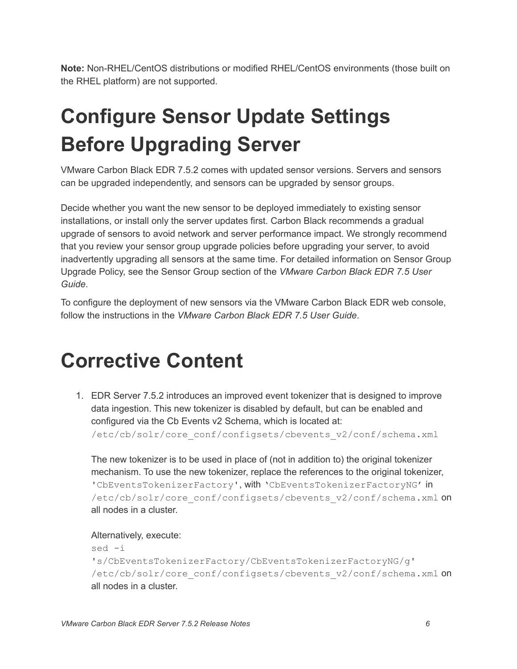**Note:** Non-RHEL/CentOS distributions or modified RHEL/CentOS environments (those built on the RHEL platform) are not supported.

# <span id="page-5-1"></span>**Configure Sensor Update Settings Before Upgrading Server**

VMware Carbon Black EDR 7.5.2 comes with updated sensor versions. Servers and sensors can be upgraded independently, and sensors can be upgraded by sensor groups.

Decide whether you want the new sensor to be deployed immediately to existing sensor installations, or install only the server updates first. Carbon Black recommends a gradual upgrade of sensors to avoid network and server performance impact. We strongly recommend that you review your sensor group upgrade policies before upgrading your server, to avoid inadvertently upgrading all sensors at the same time. For detailed information on Sensor Group Upgrade Policy, see the Sensor Group section of the *VMware Carbon Black EDR 7.5 User Guide*.

To configure the deployment of new sensors via the VMware Carbon Black EDR web console, follow the instructions in the *VMware Carbon Black EDR 7.5 User Guide*.

## <span id="page-5-0"></span>**Corrective Content**

1. EDR Server 7.5.2 introduces an improved event tokenizer that is designed to improve data ingestion. This new tokenizer is disabled by default, but can be enabled and configured via the Cb Events v2 Schema, which is located at: /etc/cb/solr/core\_conf/configsets/cbevents\_v2/conf/schema.xml

The new tokenizer is to be used in place of (not in addition to) the original tokenizer mechanism. To use the new tokenizer, replace the references to the original tokenizer, 'CbEventsTokenizerFactory', with 'CbEventsTokenizerFactoryNG' in /etc/cb/solr/core\_conf/configsets/cbevents\_v2/conf/schema.xml On all nodes in a cluster.

Alternatively, execute:

```
sed -i
's/CbEventsTokenizerFactory/CbEventsTokenizerFactoryNG/g'
/etc/cb/solr/core_conf/configsets/cbevents_v2/conf/schema.xml on
all nodes in a cluster.
```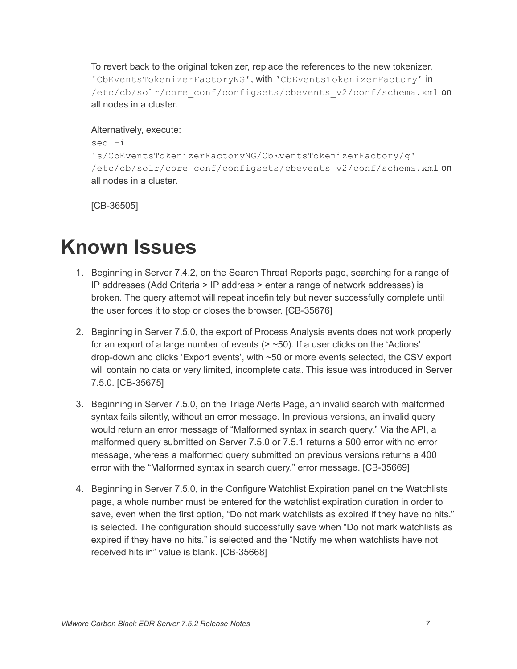To revert back to the original tokenizer, replace the references to the new tokenizer, 'CbEventsTokenizerFactoryNG', with 'CbEventsTokenizerFactory' in /etc/cb/solr/core\_conf/configsets/cbevents\_v2/conf/schema.xml on all nodes in a cluster.

#### Alternatively, execute:

```
sed -i
's/CbEventsTokenizerFactoryNG/CbEventsTokenizerFactory/g'
/etc/cb/solr/core_conf/configsets/cbevents_v2/conf/schema.xml on
all nodes in a cluster.
```
[CB-36505]

## <span id="page-6-0"></span>**Known Issues**

- 1. Beginning in Server 7.4.2, on the Search Threat Reports page, searching for a range of IP addresses (Add Criteria > IP address > enter a range of network addresses) is broken. The query attempt will repeat indefinitely but never successfully complete until the user forces it to stop or closes the browser. [CB-35676]
- 2. Beginning in Server 7.5.0, the export of Process Analysis events does not work properly for an export of a large number of events  $($   $>$   $~50)$ . If a user clicks on the 'Actions' drop-down and clicks 'Export events', with ~50 or more events selected, the CSV export will contain no data or very limited, incomplete data. This issue was introduced in Server 7.5.0. [CB-35675]
- 3. Beginning in Server 7.5.0, on the Triage Alerts Page, an invalid search with malformed syntax fails silently, without an error message. In previous versions, an invalid query would return an error message of "Malformed syntax in search query." Via the API, a malformed query submitted on Server 7.5.0 or 7.5.1 returns a 500 error with no error message, whereas a malformed query submitted on previous versions returns a 400 error with the "Malformed syntax in search query." error message. [CB-35669]
- 4. Beginning in Server 7.5.0, in the Configure Watchlist Expiration panel on the Watchlists page, a whole number must be entered for the watchlist expiration duration in order to save, even when the first option, "Do not mark watchlists as expired if they have no hits." is selected. The configuration should successfully save when "Do not mark watchlists as expired if they have no hits." is selected and the "Notify me when watchlists have not received hits in" value is blank. [CB-35668]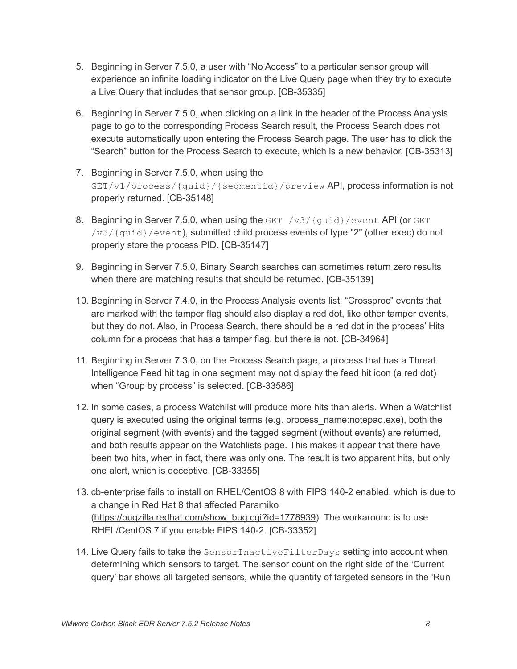- 5. Beginning in Server 7.5.0, a user with "No Access" to a particular sensor group will experience an infinite loading indicator on the Live Query page when they try to execute a Live Query that includes that sensor group. [CB-35335]
- 6. Beginning in Server 7.5.0, when clicking on a link in the header of the Process Analysis page to go to the corresponding Process Search result, the Process Search does not execute automatically upon entering the Process Search page. The user has to click the "Search" button for the Process Search to execute, which is a new behavior. [CB-35313]
- 7. Beginning in Server 7.5.0, when using the GET/v1/process/{guid}/{segmentid}/preview API, process information is not properly returned. [CB-35148]
- 8. Beginning in Server 7.5.0, when using the GET  $/v3/$  {guid}/event API (or GET /v5/{guid}/event), submitted child process events of type "2" (other exec) do not properly store the process PID. [CB-35147]
- 9. Beginning in Server 7.5.0, Binary Search searches can sometimes return zero results when there are matching results that should be returned. [CB-35139]
- 10. Beginning in Server 7.4.0, in the Process Analysis events list, "Crossproc" events that are marked with the tamper flag should also display a red dot, like other tamper events, but they do not. Also, in Process Search, there should be a red dot in the process' Hits column for a process that has a tamper flag, but there is not. [CB-34964]
- 11. Beginning in Server 7.3.0, on the Process Search page, a process that has a Threat Intelligence Feed hit tag in one segment may not display the feed hit icon (a red dot) when "Group by process" is selected. [CB-33586]
- 12. In some cases, a process Watchlist will produce more hits than alerts. When a Watchlist query is executed using the original terms (e.g. process\_name:notepad.exe), both the original segment (with events) and the tagged segment (without events) are returned, and both results appear on the Watchlists page. This makes it appear that there have been two hits, when in fact, there was only one. The result is two apparent hits, but only one alert, which is deceptive. [CB-33355]
- 13. cb-enterprise fails to install on RHEL/CentOS 8 with FIPS 140-2 enabled, which is due to a change in Red Hat 8 that affected Paramiko ([https://bugzilla.redhat.com/show\\_bug.cgi?id=1778939](https://bugzilla.redhat.com/show_bug.cgi?id=1778939)). The workaround is to use RHEL/CentOS 7 if you enable FIPS 140-2. [CB-33352]
- 14. Live Query fails to take the SensorInactiveFilterDays setting into account when determining which sensors to target. The sensor count on the right side of the 'Current query' bar shows all targeted sensors, while the quantity of targeted sensors in the 'Run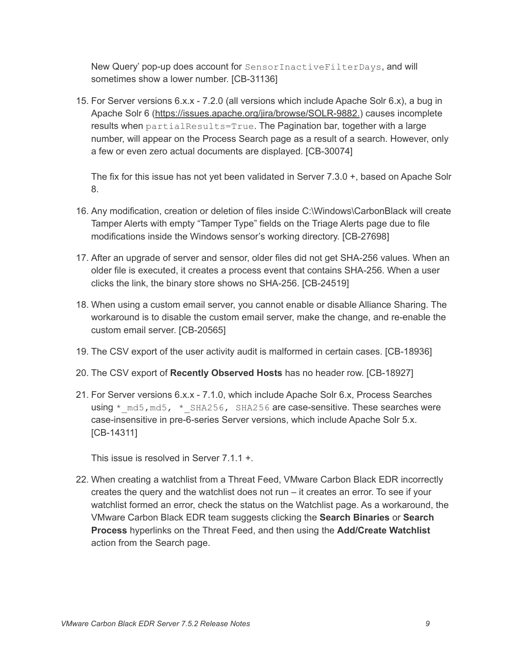New Query' pop-up does account for SensorInactiveFilterDays, and will sometimes show a lower number. [CB-31136]

15. For Server versions 6.x.x - 7.2.0 (all versions which include Apache Solr 6.x), a bug in Apache Solr 6 (<https://issues.apache.org/jira/browse/SOLR-9882.>) causes incomplete results when partialResults=True. The Pagination bar, together with a large number, will appear on the Process Search page as a result of a search. However, only a few or even zero actual documents are displayed. [CB-30074]

The fix for this issue has not yet been validated in Server 7.3.0 +, based on Apache Solr 8.

- 16. Any modification, creation or deletion of files inside C:\Windows\CarbonBlack will create Tamper Alerts with empty "Tamper Type" fields on the Triage Alerts page due to file modifications inside the Windows sensor's working directory. [CB-27698]
- 17. After an upgrade of server and sensor, older files did not get SHA-256 values. When an older file is executed, it creates a process event that contains SHA-256. When a user clicks the link, the binary store shows no SHA-256. [CB-24519]
- 18. When using a custom email server, you cannot enable or disable Alliance Sharing. The workaround is to disable the custom email server, make the change, and re-enable the custom email server. [CB-20565]
- 19. The CSV export of the user activity audit is malformed in certain cases. [CB-18936]
- 20. The CSV export of **Recently Observed Hosts** has no header row. [CB-18927]
- 21. For Server versions 6.x.x 7.1.0, which include Apache Solr 6.x, Process Searches using  $*$  md5, md5,  $*$  SHA256, SHA256 are case-sensitive. These searches were case-insensitive in pre-6-series Server versions, which include Apache Solr 5.x. [CB-14311]

This issue is resolved in Server 7.1.1 +.

22. When creating a watchlist from a Threat Feed, VMware Carbon Black EDR incorrectly creates the query and the watchlist does not run – it creates an error. To see if your watchlist formed an error, check the status on the Watchlist page. As a workaround, the VMware Carbon Black EDR team suggests clicking the **Search Binaries** or **Search Process** hyperlinks on the Threat Feed, and then using the **Add/Create Watchlist** action from the Search page.